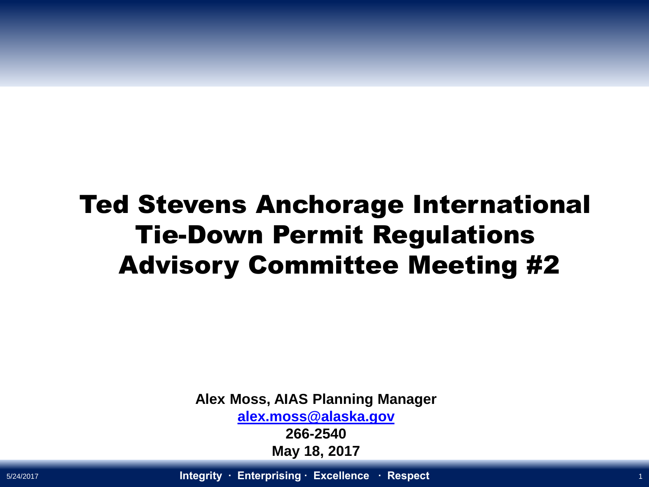### Ted Stevens Anchorage International Tie-Down Permit Regulations Advisory Committee Meeting #2

**Alex Moss, AIAS Planning Manager**

**[alex.moss@alaska.gov](mailto:alex.moss@alaska.gov)**

**266-2540 May 18, 2017**

5/24/2017 **Integrity ∙ Enterprising ∙ Excellence ∙ Respect** <sup>1</sup>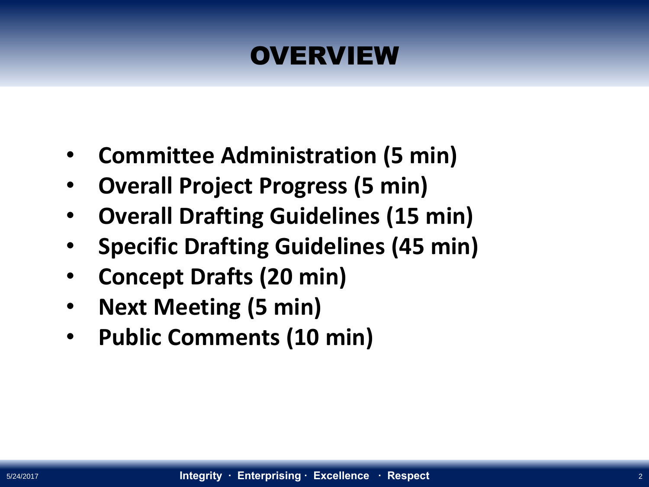### **OVERVIEW**

- **Committee Administration (5 min)**
- **Overall Project Progress (5 min)**
- **Overall Drafting Guidelines (15 min)**
- **Specific Drafting Guidelines (45 min)**
- **Concept Drafts (20 min)**
- **Next Meeting (5 min)**
- **Public Comments (10 min)**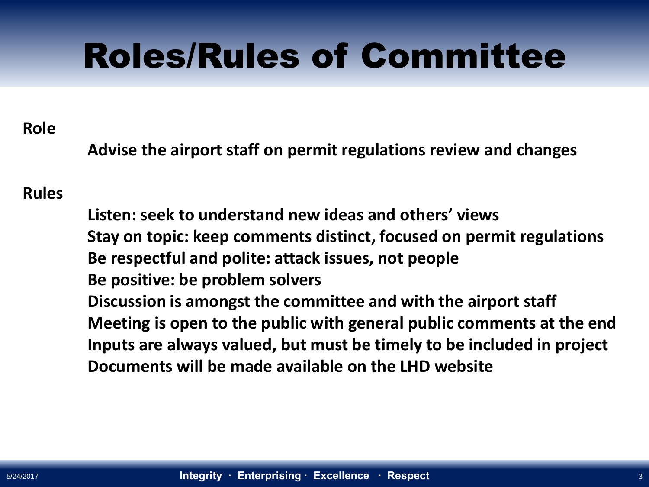## Roles/Rules of Committee

#### **Role**

**Advise the airport staff on permit regulations review and changes** 

#### **Rules**

**Listen: seek to understand new ideas and others' views Stay on topic: keep comments distinct, focused on permit regulations Be respectful and polite: attack issues, not people Be positive: be problem solvers Discussion is amongst the committee and with the airport staff Meeting is open to the public with general public comments at the end Inputs are always valued, but must be timely to be included in project Documents will be made available on the LHD website**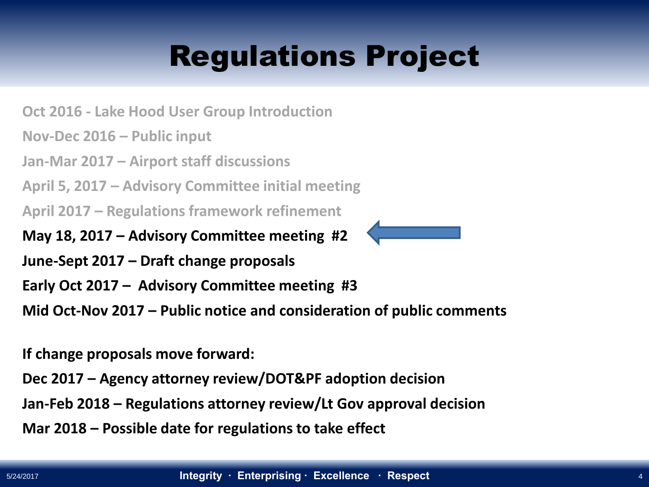### Regulations Project

**Oct 2016 - Lake Hood User Group Introduction**

**Nov-Dec 2016 – Public input**

**Jan-Mar 2017 – Airport staff discussions**

**April 5, 2017 – Advisory Committee initial meeting**

**April 2017 – Regulations framework refinement** 

**May 18, 2017 – Advisory Committee meeting #2**

**June-Sept 2017 – Draft change proposals** 

**Early Oct 2017 – Advisory Committee meeting #3**

**Mid Oct-Nov 2017 – Public notice and consideration of public comments**

**If change proposals move forward:**

**Dec 2017 – Agency attorney review/DOT&PF adoption decision**

**Jan-Feb 2018 – Regulations attorney review/Lt Gov approval decision**

**Mar 2018 – Possible date for regulations to take effect**

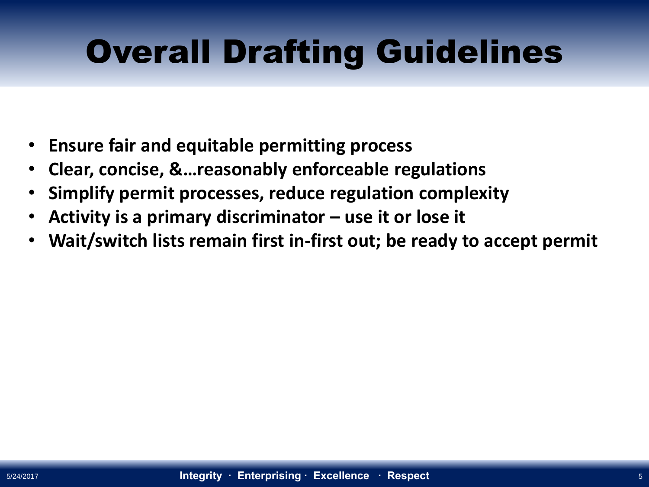## Overall Drafting Guidelines

- **Ensure fair and equitable permitting process**
- **Clear, concise, &…reasonably enforceable regulations**
- **Simplify permit processes, reduce regulation complexity**
- **Activity is a primary discriminator – use it or lose it**
- **Wait/switch lists remain first in-first out; be ready to accept permit**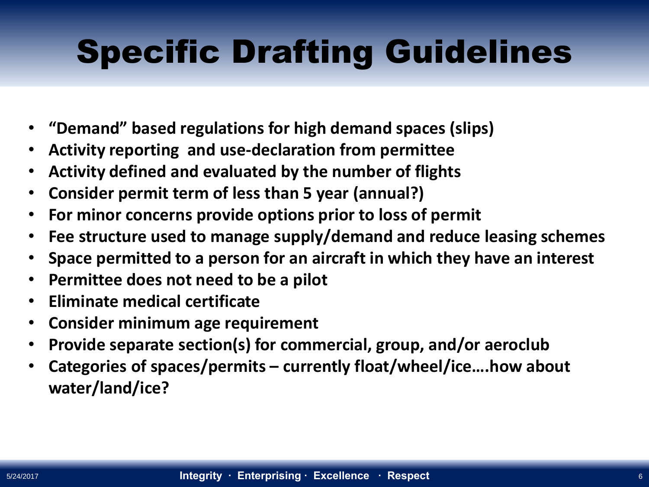# Specific Drafting Guidelines

- **"Demand" based regulations for high demand spaces (slips)**
- **Activity reporting and use-declaration from permittee**
- **Activity defined and evaluated by the number of flights**
- **Consider permit term of less than 5 year (annual?)**
- **For minor concerns provide options prior to loss of permit**
- **Fee structure used to manage supply/demand and reduce leasing schemes**
- **Space permitted to a person for an aircraft in which they have an interest**
- **Permittee does not need to be a pilot**
- **Eliminate medical certificate**
- **Consider minimum age requirement**
- **Provide separate section(s) for commercial, group, and/or aeroclub**
- **Categories of spaces/permits – currently float/wheel/ice….how about water/land/ice?**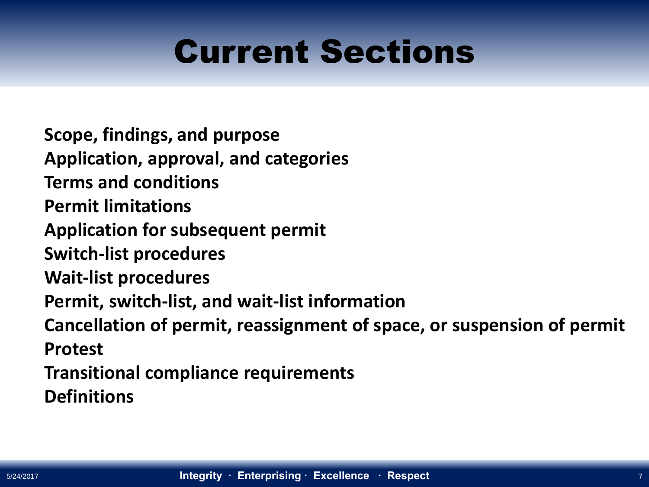### Current Sections

**Scope, findings, and purpose Application, approval, and categories Terms and conditions Permit limitations Application for subsequent permit Switch-list procedures Wait-list procedures Permit, switch-list, and wait-list information Cancellation of permit, reassignment of space, or suspension of permit Protest Transitional compliance requirements Definitions**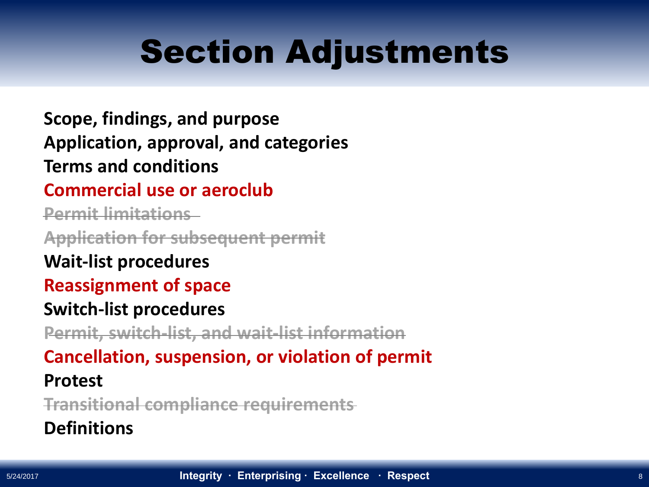### Section Adjustments

**Scope, findings, and purpose Application, approval, and categories Terms and conditions**

#### **Commercial use or aeroclub**

**Permit limitations**

**Application for subsequent permit**

**Wait-list procedures**

#### **Reassignment of space**

#### **Switch-list procedures**

**Permit, switch-list, and wait-list information**

#### **Cancellation, suspension, or violation of permit**

#### **Protest**

**Transitional compliance requirements**

#### **Definitions**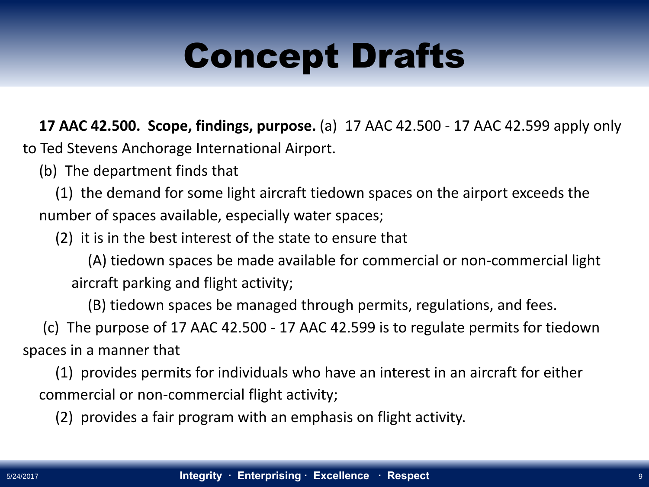**17 AAC 42.500. Scope, findings, purpose.** (a) 17 AAC 42.500 - 17 AAC 42.599 apply only to Ted Stevens Anchorage International Airport.

(b) The department finds that

(1) the demand for some light aircraft tiedown spaces on the airport exceeds the number of spaces available, especially water spaces;

(2) it is in the best interest of the state to ensure that

(A) tiedown spaces be made available for commercial or non-commercial light aircraft parking and flight activity;

(B) tiedown spaces be managed through permits, regulations, and fees.

(c) The purpose of 17 AAC 42.500 - 17 AAC 42.599 is to regulate permits for tiedown spaces in a manner that

(1) provides permits for individuals who have an interest in an aircraft for either commercial or non-commercial flight activity;

(2) provides a fair program with an emphasis on flight activity.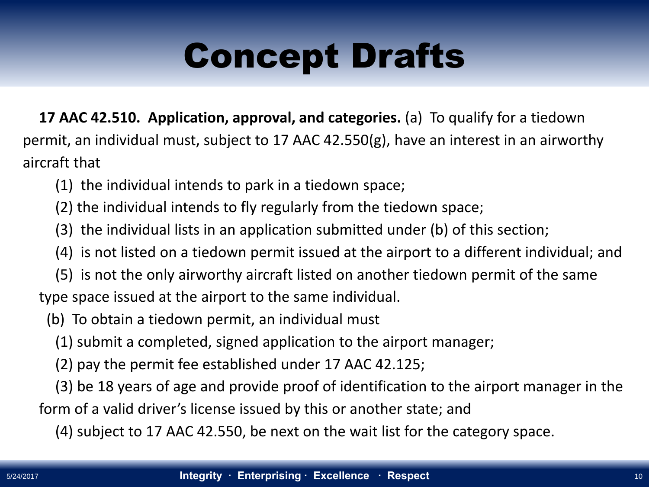**17 AAC 42.510. Application, approval, and categories.** (a) To qualify for a tiedown permit, an individual must, subject to 17 AAC 42.550(g), have an interest in an airworthy aircraft that

- (1) the individual intends to park in a tiedown space;
- (2) the individual intends to fly regularly from the tiedown space;
- (3) the individual lists in an application submitted under (b) of this section;
- (4) is not listed on a tiedown permit issued at the airport to a different individual; and
- (5) is not the only airworthy aircraft listed on another tiedown permit of the same type space issued at the airport to the same individual.
	- (b) To obtain a tiedown permit, an individual must
		- (1) submit a completed, signed application to the airport manager;
		- (2) pay the permit fee established under 17 AAC 42.125;

(3) be 18 years of age and provide proof of identification to the airport manager in the form of a valid driver's license issued by this or another state; and

(4) subject to 17 AAC 42.550, be next on the wait list for the category space.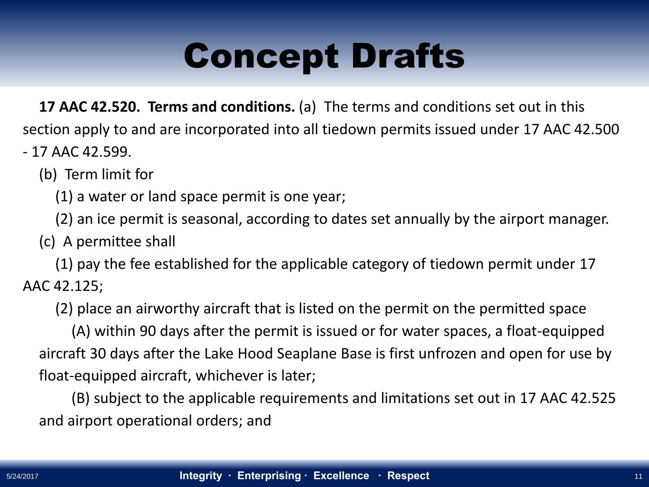**17 AAC 42.520. Terms and conditions.** (a) The terms and conditions set out in this section apply to and are incorporated into all tiedown permits issued under 17 AAC 42.500 - 17 AAC 42.599.

(b) Term limit for

(1) a water or land space permit is one year;

(2) an ice permit is seasonal, according to dates set annually by the airport manager.

(c) A permittee shall

(1) pay the fee established for the applicable category of tiedown permit under 17 AAC 42.125;

(2) place an airworthy aircraft that is listed on the permit on the permitted space

(A) within 90 days after the permit is issued or for water spaces, a float-equipped aircraft 30 days after the Lake Hood Seaplane Base is first unfrozen and open for use by float-equipped aircraft, whichever is later;

(B) subject to the applicable requirements and limitations set out in 17 AAC 42.525 and airport operational orders; and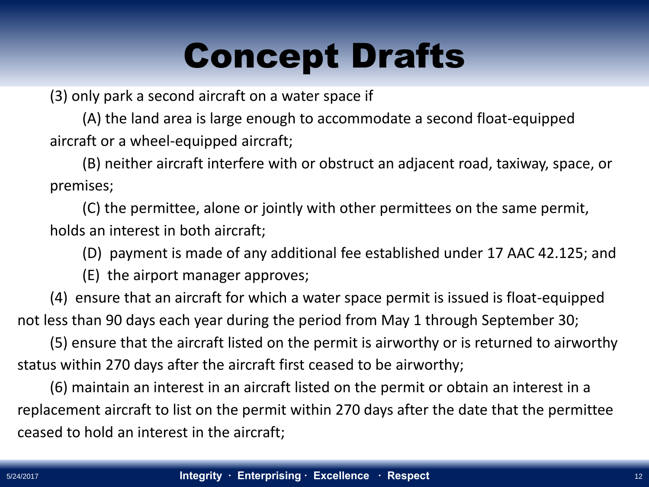(3) only park a second aircraft on a water space if

(A) the land area is large enough to accommodate a second float-equipped aircraft or a wheel-equipped aircraft;

(B) neither aircraft interfere with or obstruct an adjacent road, taxiway, space, or premises;

(C) the permittee, alone or jointly with other permittees on the same permit, holds an interest in both aircraft;

(D) payment is made of any additional fee established under 17 AAC 42.125; and

(E) the airport manager approves;

(4) ensure that an aircraft for which a water space permit is issued is float-equipped not less than 90 days each year during the period from May 1 through September 30;

(5) ensure that the aircraft listed on the permit is airworthy or is returned to airworthy status within 270 days after the aircraft first ceased to be airworthy;

(6) maintain an interest in an aircraft listed on the permit or obtain an interest in a replacement aircraft to list on the permit within 270 days after the date that the permittee ceased to hold an interest in the aircraft;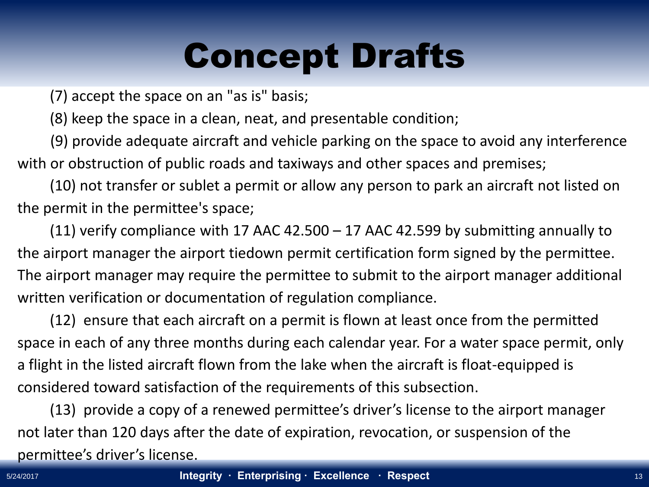(7) accept the space on an "as is" basis;

(8) keep the space in a clean, neat, and presentable condition;

(9) provide adequate aircraft and vehicle parking on the space to avoid any interference with or obstruction of public roads and taxiways and other spaces and premises;

(10) not transfer or sublet a permit or allow any person to park an aircraft not listed on the permit in the permittee's space;

(11) verify compliance with 17 AAC 42.500 – 17 AAC 42.599 by submitting annually to the airport manager the airport tiedown permit certification form signed by the permittee. The airport manager may require the permittee to submit to the airport manager additional written verification or documentation of regulation compliance.

(12) ensure that each aircraft on a permit is flown at least once from the permitted space in each of any three months during each calendar year. For a water space permit, only a flight in the listed aircraft flown from the lake when the aircraft is float-equipped is considered toward satisfaction of the requirements of this subsection.

(13) provide a copy of a renewed permittee's driver's license to the airport manager not later than 120 days after the date of expiration, revocation, or suspension of the permittee's driver's license.